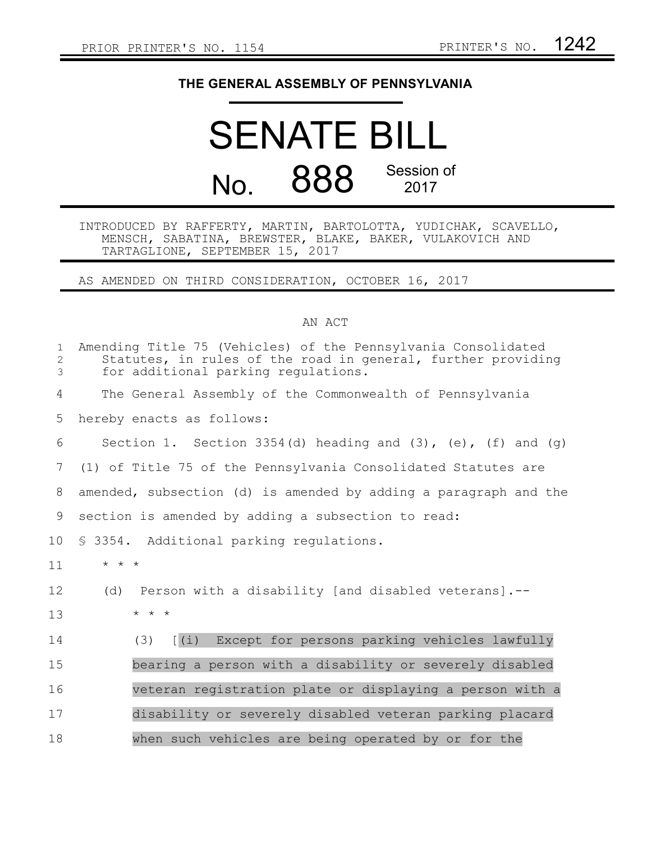## **THE GENERAL ASSEMBLY OF PENNSYLVANIA**

## SENATE BILL No. 888 Session of 2017

## INTRODUCED BY RAFFERTY, MARTIN, BARTOLOTTA, YUDICHAK, SCAVELLO, MENSCH, SABATINA, BREWSTER, BLAKE, BAKER, VULAKOVICH AND TARTAGLIONE, SEPTEMBER 15, 2017

AS AMENDED ON THIRD CONSIDERATION, OCTOBER 16, 2017

## AN ACT

| $\mathbf{1}$<br>$\overline{2}$<br>3 | Amending Title 75 (Vehicles) of the Pennsylvania Consolidated<br>Statutes, in rules of the road in general, further providing<br>for additional parking regulations. |
|-------------------------------------|----------------------------------------------------------------------------------------------------------------------------------------------------------------------|
| 4                                   | The General Assembly of the Commonwealth of Pennsylvania                                                                                                             |
| 5                                   | hereby enacts as follows:                                                                                                                                            |
| 6                                   | Section 1. Section 3354(d) heading and $(3)$ , $(e)$ , $(f)$ and $(g)$                                                                                               |
| 7                                   | (1) of Title 75 of the Pennsylvania Consolidated Statutes are                                                                                                        |
| 8                                   | amended, subsection (d) is amended by adding a paragraph and the                                                                                                     |
| 9                                   | section is amended by adding a subsection to read:                                                                                                                   |
| 10 <sub>o</sub>                     | \$ 3354. Additional parking regulations.                                                                                                                             |
| 11                                  | $\star$ $\star$ $\star$                                                                                                                                              |
| 12                                  | Person with a disability [and disabled veterans].--<br>(d)                                                                                                           |
| 13                                  | $\star$ $\star$ $\star$                                                                                                                                              |
| 14                                  | [ (i)<br>Except for persons parking vehicles lawfully<br>(3)                                                                                                         |
| 15                                  | bearing a person with a disability or severely disabled                                                                                                              |
| 16                                  | veteran registration plate or displaying a person with a                                                                                                             |
| 17                                  | disability or severely disabled veteran parking placard                                                                                                              |
| 18                                  | when such vehicles are being operated by or for the                                                                                                                  |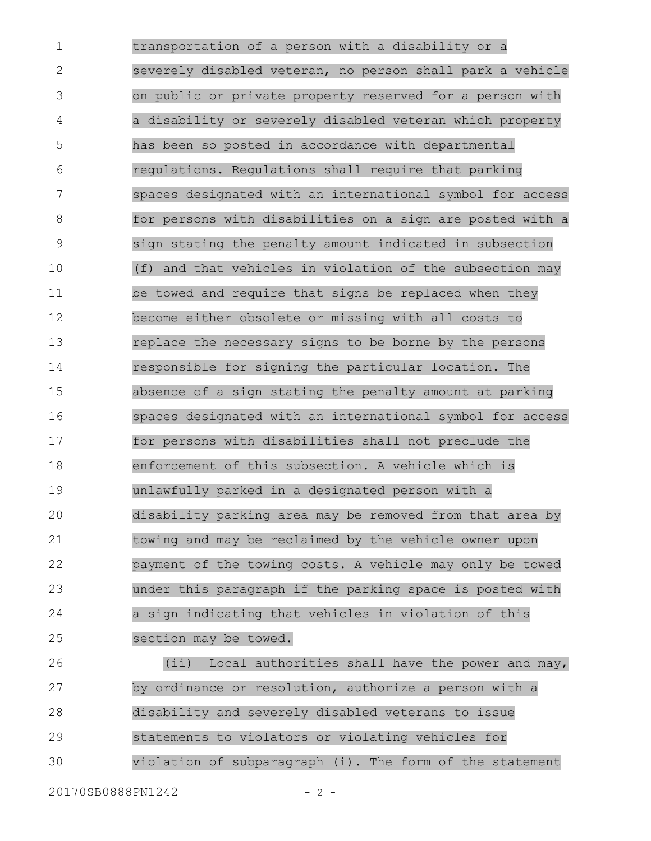transportation of a person with a disability or a severely disabled veteran, no person shall park a vehicle on public or private property reserved for a person with a disability or severely disabled veteran which property has been so posted in accordance with departmental regulations. Regulations shall require that parking spaces designated with an international symbol for access for persons with disabilities on a sign are posted with a sign stating the penalty amount indicated in subsection (f) and that vehicles in violation of the subsection may be towed and require that signs be replaced when they become either obsolete or missing with all costs to replace the necessary signs to be borne by the persons responsible for signing the particular location. The absence of a sign stating the penalty amount at parking spaces designated with an international symbol for access for persons with disabilities shall not preclude the enforcement of this subsection. A vehicle which is unlawfully parked in a designated person with a disability parking area may be removed from that area by towing and may be reclaimed by the vehicle owner upon payment of the towing costs. A vehicle may only be towed under this paragraph if the parking space is posted with a sign indicating that vehicles in violation of this section may be towed. 1 2 3 4 5 6 7 8 9 10 11 12 13 14 15 16 17 18 19 20 21 22 23 24 25

(ii) Local authorities shall have the power and may, by ordinance or resolution, authorize a person with a disability and severely disabled veterans to issue statements to violators or violating vehicles for violation of subparagraph (i). The form of the statement 26 27 28 29 30

20170SB0888PN1242 - 2 -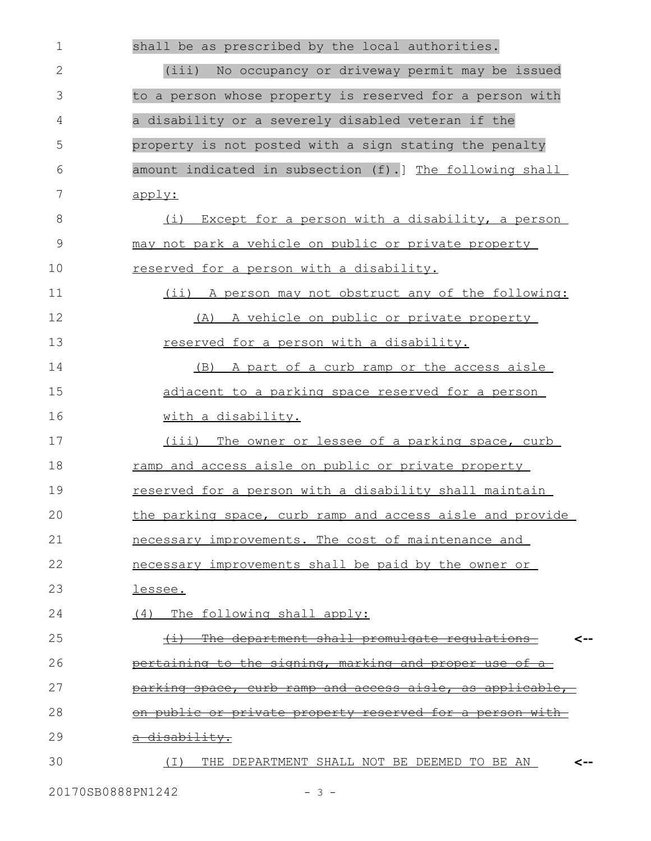| $\mathbf 1$  | shall be as prescribed by the local authorities.                     |
|--------------|----------------------------------------------------------------------|
| $\mathbf{2}$ | (iii) No occupancy or driveway permit may be issued                  |
| 3            | to a person whose property is reserved for a person with             |
| 4            | a disability or a severely disabled veteran if the                   |
| 5            | property is not posted with a sign stating the penalty               |
| 6            | amount indicated in subsection (f).] The following shall             |
| 7            | apply:                                                               |
| 8            | Except for a person with a disability, a person<br>(i)               |
| $\mathsf 9$  | may not park a vehicle on public or private property                 |
| 10           | reserved for a person with a disability.                             |
| 11           | (ii) A person may not obstruct any of the following:                 |
| 12           | A vehicle on public or private property<br>(A)                       |
| 13           | reserved for a person with a disability.                             |
| 14           | (B) A part of a curb ramp or the access aisle                        |
| 15           | adjacent to a parking space reserved for a person                    |
| 16           | with a disability.                                                   |
| 17           | (iii) The owner or lessee of a parking space, curb                   |
| 18           | ramp and access aisle on public or private property                  |
| 19           | reserved for a person with a disability shall maintain               |
| 20           | the parking space, curb ramp and access aisle and provide            |
| 21           | necessary improvements. The cost of maintenance and                  |
| 22           | necessary improvements shall be paid by the owner or                 |
| 23           | lessee.                                                              |
| 24           | (4) The following shall apply:                                       |
| 25           | The department shall promulgate requlations<br>$\overline{a}$<br><-- |
| 26           | pertaining to the signing, marking and proper use of                 |
| 27           | <u>parking space, curb ramp and access aisle, as applicable,</u>     |
| 28           | <u>on public or private property reserved for a person with-</u>     |
| 29           | a disability.                                                        |
| 30           | THE DEPARTMENT SHALL NOT BE DEEMED TO BE AN<br>( I )<br><--          |
|              |                                                                      |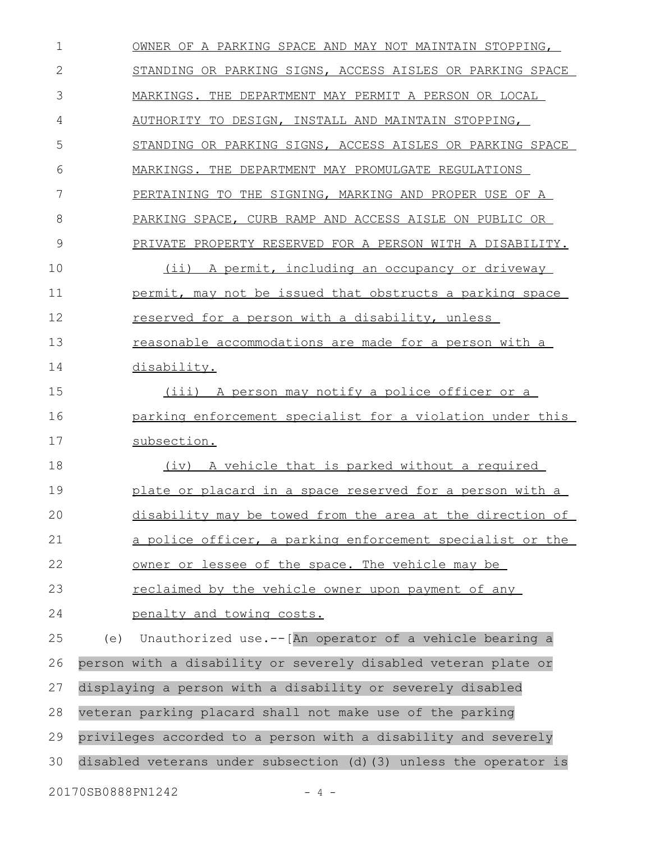OWNER OF A PARKING SPACE AND MAY NOT MAINTAIN STOPPING, STANDING OR PARKING SIGNS, ACCESS AISLES OR PARKING SPACE MARKINGS. THE DEPARTMENT MAY PERMIT A PERSON OR LOCAL AUTHORITY TO DESIGN, INSTALL AND MAINTAIN STOPPING, STANDING OR PARKING SIGNS, ACCESS AISLES OR PARKING SPACE MARKINGS. THE DEPARTMENT MAY PROMULGATE REGULATIONS PERTAINING TO THE SIGNING, MARKING AND PROPER USE OF A PARKING SPACE, CURB RAMP AND ACCESS AISLE ON PUBLIC OR PRIVATE PROPERTY RESERVED FOR A PERSON WITH A DISABILITY. (ii) A permit, including an occupancy or driveway permit, may not be issued that obstructs a parking space reserved for a person with a disability, unless reasonable accommodations are made for a person with a disability. (iii) A person may notify a police officer or a parking enforcement specialist for a violation under this subsection. (iv) A vehicle that is parked without a required plate or placard in a space reserved for a person with a disability may be towed from the area at the direction of a police officer, a parking enforcement specialist or the owner or lessee of the space. The vehicle may be reclaimed by the vehicle owner upon payment of any penalty and towing costs. (e) Unauthorized use.--[An operator of a vehicle bearing a person with a disability or severely disabled veteran plate or displaying a person with a disability or severely disabled veteran parking placard shall not make use of the parking privileges accorded to a person with a disability and severely disabled veterans under subsection (d)(3) unless the operator is 20170SB0888PN1242 - 4 - 1 2 3 4 5 6 7 8 9 10 11 12 13 14 15 16 17 18 19 20 21 22 23 24 25 26 27 28 29 30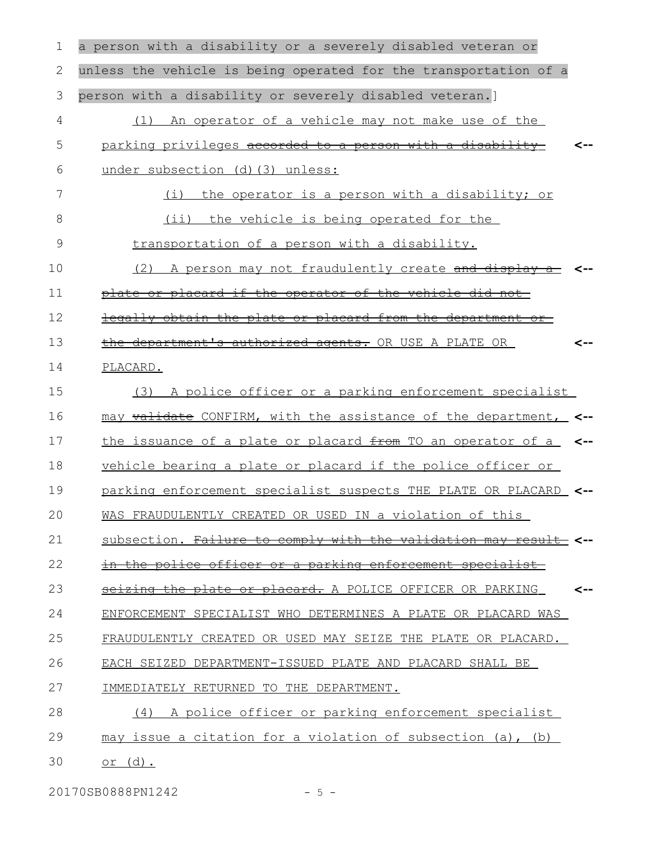| 1  | a person with a disability or a severely disabled veteran or     |     |
|----|------------------------------------------------------------------|-----|
| 2  | unless the vehicle is being operated for the transportation of a |     |
| 3  | person with a disability or severely disabled veteran.]          |     |
| 4  | An operator of a vehicle may not make use of the<br>(1)          |     |
| 5  | parking privileges accorded to a person with a disability        |     |
| 6  | under subsection (d) (3) unless:                                 |     |
| 7  | (i)<br>the operator is a person with a disability; or            |     |
| 8  | (ii) the vehicle is being operated for the                       |     |
| 9  | transportation of a person with a disability.                    |     |
| 10 | (2)<br>A person may not fraudulently create and display          |     |
| 11 | plate or placard if the operator of the vehicle did not          |     |
| 12 | legally obtain the plate or placard from the department or-      |     |
| 13 | the department's authorized agents. OR USE A PLATE OR            | <-- |
| 14 | PLACARD.                                                         |     |
| 15 | A police officer or a parking enforcement specialist<br>(3)      |     |
| 16 | may validate CONFIRM, with the assistance of the department, <-- |     |
| 17 | the issuance of a plate or placard from TO an operator of a      |     |
| 18 | vehicle bearing a plate or placard if the police officer or      |     |
| 19 | parking enforcement specialist suspects THE PLATE OR PLACARD <-- |     |
| 20 | WAS FRAUDULENTLY CREATED OR USED IN a violation of this          |     |
| 21 | subsection. Failure to comply with the validation may result <-  |     |
| 22 | in the police officer or a parking enforcement specialist        |     |
| 23 | seizing the plate or placard. A POLICE OFFICER OR PARKING        | <-- |
| 24 | ENFORCEMENT SPECIALIST WHO DETERMINES A PLATE OR PLACARD WAS     |     |
| 25 | FRAUDULENTLY CREATED OR USED MAY SEIZE THE PLATE OR PLACARD.     |     |
| 26 | EACH SEIZED DEPARTMENT-ISSUED PLATE AND PLACARD SHALL BE         |     |
| 27 | IMMEDIATELY RETURNED TO THE DEPARTMENT.                          |     |
| 28 | (4) A police officer or parking enforcement specialist           |     |
| 29 | may issue a citation for a violation of subsection $(a)$ , $(b)$ |     |
| 30 | or $(d)$ .                                                       |     |

20170SB0888PN1242 - 5 -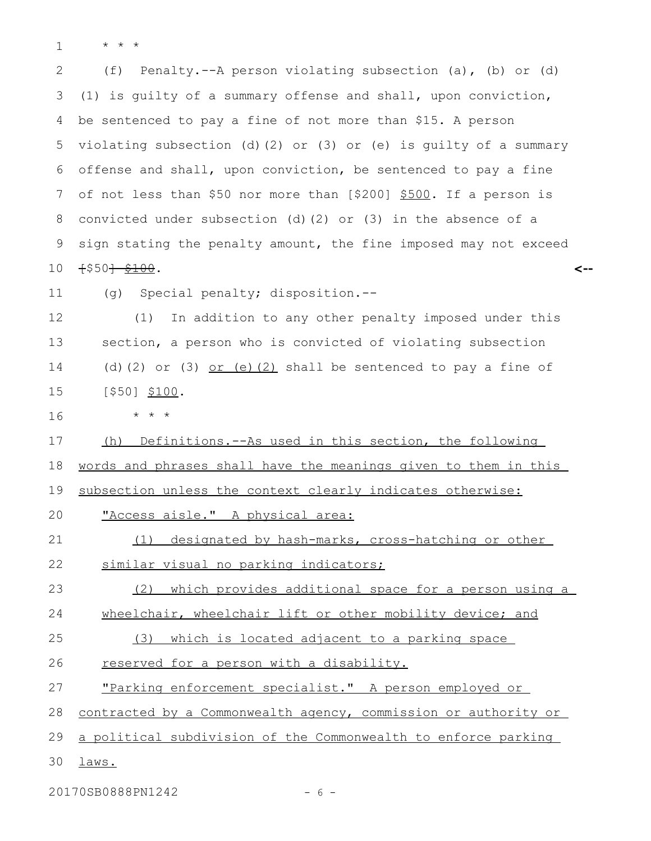\* \* \* 1

(f) Penalty.--A person violating subsection (a), (b) or (d) (1) is guilty of a summary offense and shall, upon conviction, be sentenced to pay a fine of not more than \$15. A person violating subsection (d)(2) or (3) or (e) is guilty of a summary offense and shall, upon conviction, be sentenced to pay a fine of not less than \$50 nor more than [\$200] \$500. If a person is convicted under subsection (d)(2) or (3) in the absence of a sign stating the penalty amount, the fine imposed may not exceed  $+$ \$50<del>] \$100</del>. **<--** 2 3 4 5 6 7 8 9 10

(g) Special penalty; disposition.-- 11

(1) In addition to any other penalty imposed under this section, a person who is convicted of violating subsection (d)(2) or (3)  $or$  (e)(2) shall be sentenced to pay a fine of [\$50] \$100. 12 13 14 15

16

\* \* \*

(h) Definitions.--As used in this section, the following 17

words and phrases shall have the meanings given to them in this 18

subsection unless the context clearly indicates otherwise: 19

"Access aisle." A physical area: 20

- (1) designated by hash-marks, cross-hatching or other 21
- 22

(2) which provides additional space for a person using a 23

wheelchair, wheelchair lift or other mobility device; and 24

(3) which is located adjacent to a parking space 25

reserved for a person with a disability. 26

similar visual no parking indicators;

"Parking enforcement specialist." A person employed or 27

contracted by a Commonwealth agency, commission or authority or 28

a political subdivision of the Commonwealth to enforce parking 29

laws. 30

20170SB0888PN1242 - 6 -